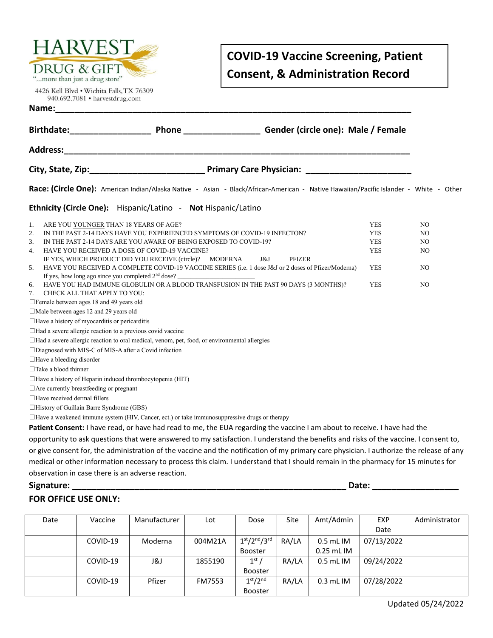

4426 Kell Blvd . Wichita Falls, TX 76309 940.692.7081 • harvestdrug.com

## **COVID-19 Vaccine Screening, Patient Consent, & Administration Record**

| Gender (circle one): Male / Female<br>Birthdate:____________________<br><b>Phone Contract Contract Contract Contract Contract Contract Contract Contract Contract Contract Contract Contract Contract Contract Contract Contract Contract Contract Contract Contract Contract Contract Contract Contra</b> |            |                |  |  |  |  |
|------------------------------------------------------------------------------------------------------------------------------------------------------------------------------------------------------------------------------------------------------------------------------------------------------------|------------|----------------|--|--|--|--|
| Address: the contract of the contract of the contract of the contract of the contract of the contract of the contract of the contract of the contract of the contract of the contract of the contract of the contract of the c                                                                             |            |                |  |  |  |  |
|                                                                                                                                                                                                                                                                                                            |            |                |  |  |  |  |
| Race: (Circle One): American Indian/Alaska Native - Asian - Black/African-American - Native Hawaiian/Pacific Islander - White - Other                                                                                                                                                                      |            |                |  |  |  |  |
| Ethnicity (Circle One): Hispanic/Latino - Not Hispanic/Latino                                                                                                                                                                                                                                              |            |                |  |  |  |  |
| ARE YOU YOUNGER THAN 18 YEARS OF AGE?<br>1.                                                                                                                                                                                                                                                                | <b>YES</b> | NO             |  |  |  |  |
| IN THE PAST 2-14 DAYS HAVE YOU EXPERIENCED SYMPTOMS OF COVID-19 INFECTON?<br>2.                                                                                                                                                                                                                            | <b>YES</b> | NO.            |  |  |  |  |
| IN THE PAST 2-14 DAYS ARE YOU AWARE OF BEING EXPOSED TO COVID-19?<br>3.                                                                                                                                                                                                                                    | <b>YES</b> | NO.            |  |  |  |  |
| HAVE YOU RECEIVED A DOSE OF COVID-19 VACCINE?<br>4.                                                                                                                                                                                                                                                        | <b>YES</b> | NO.            |  |  |  |  |
| J&J<br><b>PFIZER</b><br>IF YES, WHICH PRODUCT DID YOU RECEIVE (circle)? MODERNA                                                                                                                                                                                                                            |            |                |  |  |  |  |
| HAVE YOU RECEIVED A COMPLETE COVID-19 VACCINE SERIES (i.e. 1 dose J&J or 2 doses of Pfizer/Moderna)<br>5.                                                                                                                                                                                                  | <b>YES</b> | N <sub>O</sub> |  |  |  |  |
| If yes, how long ago since you completed $2nd$ dose?                                                                                                                                                                                                                                                       |            |                |  |  |  |  |
| HAVE YOU HAD IMMUNE GLOBULIN OR A BLOOD TRANSFUSION IN THE PAST 90 DAYS (3 MONTHS)?<br>6.<br>CHECK ALL THAT APPLY TO YOU:<br>7.                                                                                                                                                                            | <b>YES</b> | N <sub>O</sub> |  |  |  |  |
| □Female between ages 18 and 49 years old                                                                                                                                                                                                                                                                   |            |                |  |  |  |  |
| □Male between ages 12 and 29 years old                                                                                                                                                                                                                                                                     |            |                |  |  |  |  |
| $\Box$ Have a history of myocarditis or pericarditis                                                                                                                                                                                                                                                       |            |                |  |  |  |  |
|                                                                                                                                                                                                                                                                                                            |            |                |  |  |  |  |
| $\Box$ Had a severe allergic reaction to a previous covid vaccine<br>□Had a severe allergic reaction to oral medical, venom, pet, food, or environmental allergies                                                                                                                                         |            |                |  |  |  |  |
| □Diagnosed with MIS-C of MIS-A after a Covid infection                                                                                                                                                                                                                                                     |            |                |  |  |  |  |
| $\Box$ Have a bleeding disorder                                                                                                                                                                                                                                                                            |            |                |  |  |  |  |
| $\Box$ Take a blood thinner                                                                                                                                                                                                                                                                                |            |                |  |  |  |  |
| $\Box$ Have a history of Heparin induced thrombocytopenia (HIT)                                                                                                                                                                                                                                            |            |                |  |  |  |  |
| $\Box$ Are currently breastfeeding or pregnant                                                                                                                                                                                                                                                             |            |                |  |  |  |  |
| $\Box$ Have received dermal fillers                                                                                                                                                                                                                                                                        |            |                |  |  |  |  |
| $\Box$ History of Guillain Barre Syndrome (GBS)                                                                                                                                                                                                                                                            |            |                |  |  |  |  |
| $\Box$ Have a weakened immune system (HIV, Cancer, ect.) or take immunosuppressive drugs or therapy                                                                                                                                                                                                        |            |                |  |  |  |  |
| Patient Consent: I have read, or have had read to me, the EUA regarding the vaccine I am about to receive. I have had the                                                                                                                                                                                  |            |                |  |  |  |  |
|                                                                                                                                                                                                                                                                                                            |            |                |  |  |  |  |
| opportunity to ask questions that were answered to my satisfaction. I understand the benefits and risks of the vaccine. I consent to,                                                                                                                                                                      |            |                |  |  |  |  |
| or give consent for, the administration of the vaccine and the notification of my primary care physician. I authorize the release of any                                                                                                                                                                   |            |                |  |  |  |  |
| medical or other information necessary to process this claim. I understand that I should remain in the pharmacy for 15 minutes for                                                                                                                                                                         |            |                |  |  |  |  |
| observation in case there is an adverse reaction.                                                                                                                                                                                                                                                          |            |                |  |  |  |  |

**Name:\_\_\_\_\_\_\_\_\_\_\_\_\_\_\_\_\_\_\_\_\_\_\_\_\_\_\_\_\_\_\_\_\_\_\_\_\_\_\_\_\_\_\_\_\_\_\_\_\_\_\_\_\_\_\_\_\_\_\_\_\_\_\_\_\_\_\_\_\_\_\_\_\_\_**

## **Signature: \_\_\_\_\_\_\_\_\_\_\_\_\_\_\_\_\_\_\_\_\_\_\_\_\_\_\_\_\_\_\_\_\_\_\_\_\_\_\_\_\_\_\_\_\_\_\_\_\_\_\_\_\_\_\_\_\_ Date: \_\_\_\_\_\_\_\_\_\_\_\_\_\_\_\_\_\_**

## **FOR OFFICE USE ONLY:**

| Date | Vaccine  | Manufacturer | Lot           | Dose                             | Site  | Amt/Admin   | <b>EXP</b> | Administrator |
|------|----------|--------------|---------------|----------------------------------|-------|-------------|------------|---------------|
|      |          |              |               |                                  |       |             | Date       |               |
|      | COVID-19 | Moderna      | 004M21A       | $1st/2nd/3rd$                    | RA/LA | $0.5$ mL IM | 07/13/2022 |               |
|      |          |              |               | Booster                          |       | 0.25 mL IM  |            |               |
|      | COVID-19 | ا 18         | 1855190       | 1 <sup>st</sup>                  | RA/LA | $0.5$ mL IM | 09/24/2022 |               |
|      |          |              |               | <b>Booster</b>                   |       |             |            |               |
|      | COVID-19 | Pfizer       | <b>FM7553</b> | 1 <sup>st</sup> /2 <sup>nd</sup> | RA/LA | $0.3$ mL IM | 07/28/2022 |               |
|      |          |              |               | <b>Booster</b>                   |       |             |            |               |